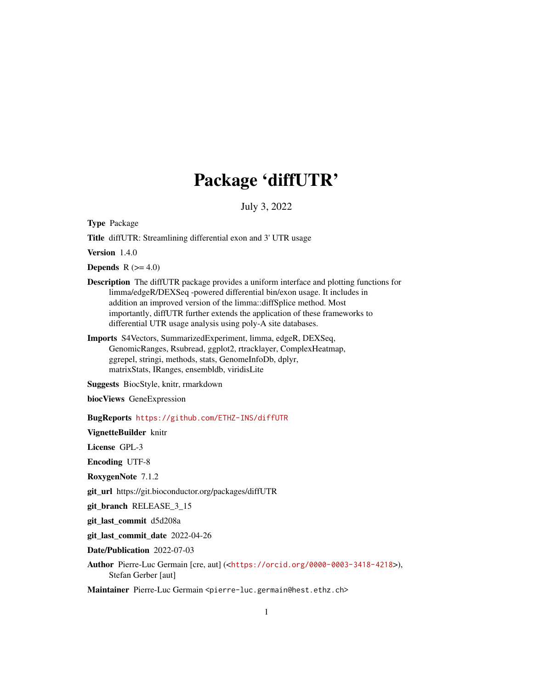# Package 'diffUTR'

July 3, 2022

<span id="page-0-0"></span>Type Package

Title diffUTR: Streamlining differential exon and 3' UTR usage

Version 1.4.0

**Depends**  $R$  ( $>= 4.0$ )

- Description The diffUTR package provides a uniform interface and plotting functions for limma/edgeR/DEXSeq -powered differential bin/exon usage. It includes in addition an improved version of the limma::diffSplice method. Most importantly, diffUTR further extends the application of these frameworks to differential UTR usage analysis using poly-A site databases.
- Imports S4Vectors, SummarizedExperiment, limma, edgeR, DEXSeq, GenomicRanges, Rsubread, ggplot2, rtracklayer, ComplexHeatmap, ggrepel, stringi, methods, stats, GenomeInfoDb, dplyr, matrixStats, IRanges, ensembldb, viridisLite

Suggests BiocStyle, knitr, rmarkdown

biocViews GeneExpression

BugReports <https://github.com/ETHZ-INS/diffUTR>

VignetteBuilder knitr

License GPL-3

Encoding UTF-8

RoxygenNote 7.1.2

git\_url https://git.bioconductor.org/packages/diffUTR

git\_branch RELEASE\_3\_15

git\_last\_commit d5d208a

git\_last\_commit\_date 2022-04-26

Date/Publication 2022-07-03

Author Pierre-Luc Germain [cre, aut] (<<https://orcid.org/0000-0003-3418-4218>>), Stefan Gerber [aut]

Maintainer Pierre-Luc Germain <pierre-luc.germain@hest.ethz.ch>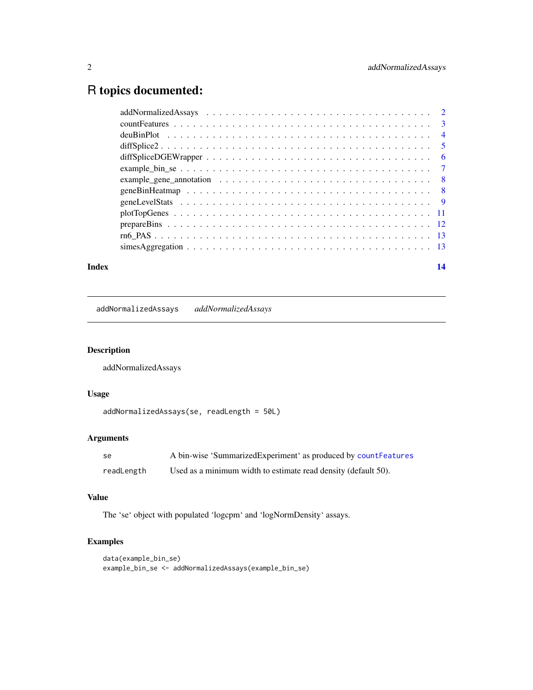# <span id="page-1-0"></span>R topics documented:

| example_gene_annotation $\ldots \ldots \ldots \ldots \ldots \ldots \ldots \ldots \ldots \ldots \ldots \ldots$ |  |
|---------------------------------------------------------------------------------------------------------------|--|
|                                                                                                               |  |
|                                                                                                               |  |
|                                                                                                               |  |
|                                                                                                               |  |
|                                                                                                               |  |
|                                                                                                               |  |
|                                                                                                               |  |

#### **Index** 2008 **[14](#page-13-0)**

addNormalizedAssays *addNormalizedAssays*

# Description

addNormalizedAssays

# Usage

```
addNormalizedAssays(se, readLength = 50L)
```
# Arguments

| -se        | A bin-wise 'SummarizedExperiment' as produced by countFeatures |
|------------|----------------------------------------------------------------|
| readLength | Used as a minimum width to estimate read density (default 50). |

#### Value

The 'se' object with populated 'logcpm' and 'logNormDensity' assays.

```
data(example_bin_se)
example_bin_se <- addNormalizedAssays(example_bin_se)
```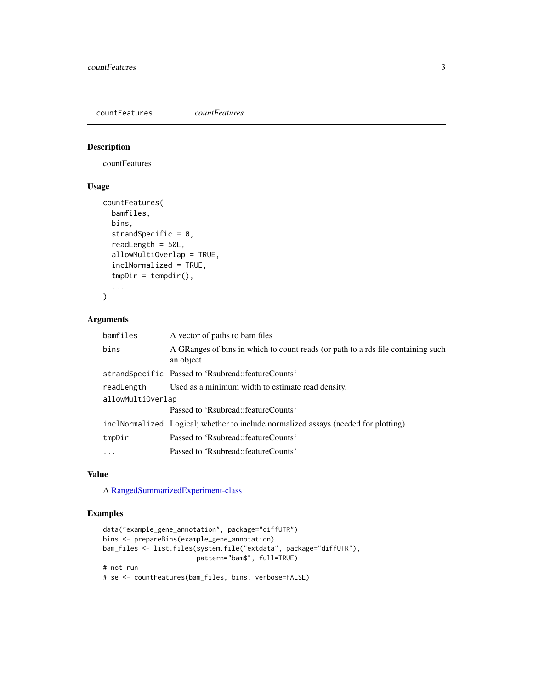<span id="page-2-1"></span><span id="page-2-0"></span>countFeatures *countFeatures*

#### Description

countFeatures

# Usage

```
countFeatures(
  bamfiles,
  bins,
  strandSpecific = 0,
  readLength = 50L,
  allowMultiOverlap = TRUE,
  inclNormalized = TRUE,
  tmpDir = tempdir(),
  ...
\mathcal{L}
```
#### Arguments

| bamfiles          | A vector of paths to bam files                                                                |  |
|-------------------|-----------------------------------------------------------------------------------------------|--|
| bins              | A GRanges of bins in which to count reads (or path to a rds file containing such<br>an object |  |
|                   | strandSpecific Passed to 'Rsubread::featureCounts'                                            |  |
| readLength        | Used as a minimum width to estimate read density.                                             |  |
| allowMultiOverlap |                                                                                               |  |
|                   | Passed to 'Rsubread::featureCounts'                                                           |  |
|                   | inclNormalized Logical; whether to include normalized assays (needed for plotting)            |  |
| tmpDir            | Passed to 'Rsubread::featureCounts'                                                           |  |
| .                 | Passed to 'Rsubread::featureCounts'                                                           |  |

#### Value

A [RangedSummarizedExperiment-class](#page-0-0)

```
data("example_gene_annotation", package="diffUTR")
bins <- prepareBins(example_gene_annotation)
bam_files <- list.files(system.file("extdata", package="diffUTR"),
                       pattern="bam$", full=TRUE)
# not run
# se <- countFeatures(bam_files, bins, verbose=FALSE)
```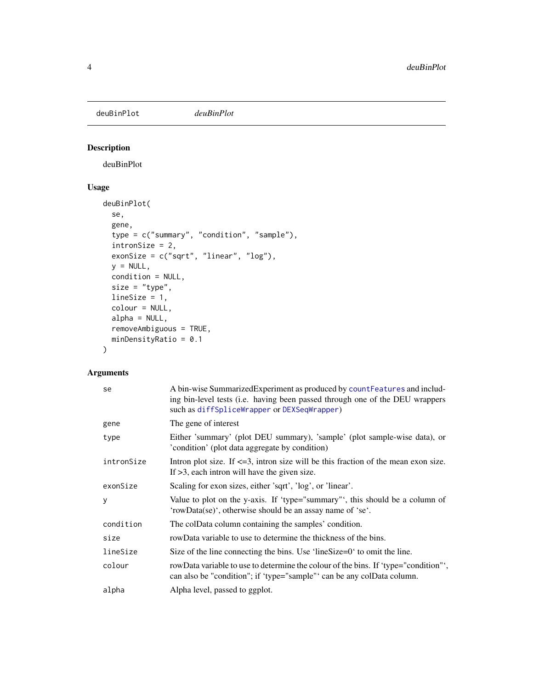<span id="page-3-0"></span>deuBinPlot *deuBinPlot*

# Description

deuBinPlot

# Usage

```
deuBinPlot(
  se,
  gene,
  type = c("summary", "condition", "sample"),
  intronSize = 2,
 exonSize = c("sqrt", "linear", "log"),
 y = NULL,condition = NULL,
 size = "type",
 lineSize = 1,
  colour = NULL,
 alpha = NULL,
 removeAmbiguous = TRUE,
 minDensityRatio = 0.1
\mathcal{L}
```
# Arguments

| se         | A bin-wise SummarizedExperiment as produced by countFeatures and includ-<br>ing bin-level tests (i.e. having been passed through one of the DEU wrappers<br>such as diffSpliceWrapper or DEXSeqWrapper) |  |
|------------|---------------------------------------------------------------------------------------------------------------------------------------------------------------------------------------------------------|--|
| gene       | The gene of interest                                                                                                                                                                                    |  |
| type       | Either 'summary' (plot DEU summary), 'sample' (plot sample-wise data), or<br>'condition' (plot data aggregate by condition)                                                                             |  |
| intronSize | Intron plot size. If $\leq$ = 3, intron size will be this fraction of the mean exon size.<br>If $>3$ , each intron will have the given size.                                                            |  |
| exonSize   | Scaling for exon sizes, either 'sqrt', 'log', or 'linear'.                                                                                                                                              |  |
| У          | Value to plot on the y-axis. If 'type="summary"', this should be a column of<br>'rowData(se)', otherwise should be an assay name of 'se'.                                                               |  |
| condition  | The colData column containing the samples' condition.                                                                                                                                                   |  |
| size       | rowData variable to use to determine the thickness of the bins.                                                                                                                                         |  |
| lineSize   | Size of the line connecting the bins. Use 'lineSize=0' to omit the line.                                                                                                                                |  |
| colour     | rowData variable to use to determine the colour of the bins. If 'type="condition"',<br>can also be "condition"; if 'type="sample" can be any colData column.                                            |  |
| alpha      | Alpha level, passed to ggplot.                                                                                                                                                                          |  |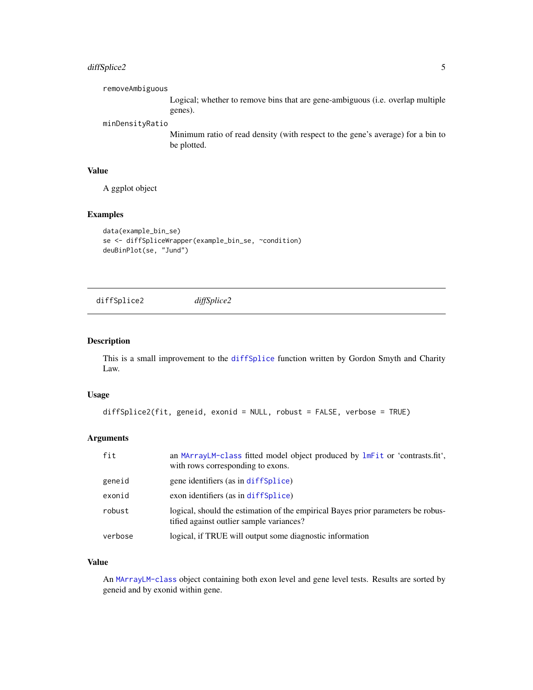# <span id="page-4-0"></span>diffSplice2 5

removeAmbiguous Logical; whether to remove bins that are gene-ambiguous (i.e. overlap multiple

genes).

#### minDensityRatio

Minimum ratio of read density (with respect to the gene's average) for a bin to be plotted.

#### Value

A ggplot object

#### Examples

```
data(example_bin_se)
se <- diffSpliceWrapper(example_bin_se, ~condition)
deuBinPlot(se, "Jund")
```
<span id="page-4-1"></span>diffSplice2 *diffSplice2*

#### Description

This is a small improvement to the [diffSplice](#page-0-0) function written by Gordon Smyth and Charity Law.

#### Usage

```
diffSplice2(fit, geneid, exonid = NULL, robust = FALSE, verbose = TRUE)
```
# Arguments

| fit     | an MArrayLM-class fitted model object produced by lmFit or 'contrasts.fit',<br>with rows corresponding to exons.             |
|---------|------------------------------------------------------------------------------------------------------------------------------|
| geneid  | gene identifiers (as in diffSplice)                                                                                          |
| exonid  | exon identifiers (as in diffSplice)                                                                                          |
| robust  | logical, should the estimation of the empirical Bayes prior parameters be robus-<br>tified against outlier sample variances? |
| verbose | logical, if TRUE will output some diagnostic information                                                                     |

### Value

An [MArrayLM-class](#page-0-0) object containing both exon level and gene level tests. Results are sorted by geneid and by exonid within gene.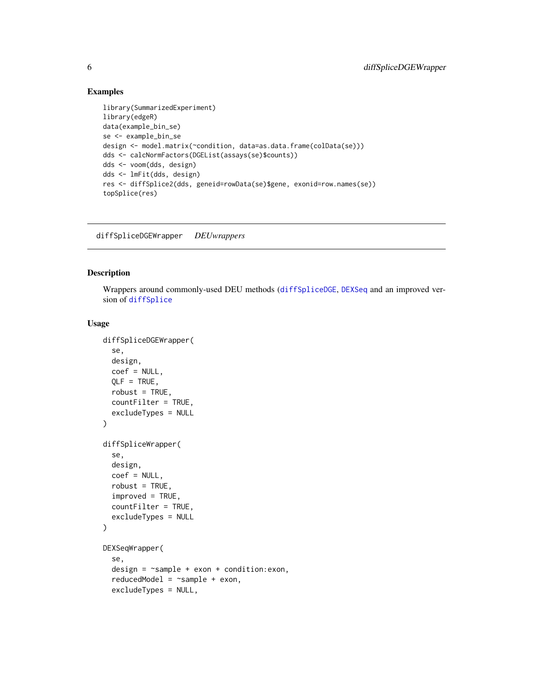#### Examples

```
library(SummarizedExperiment)
library(edgeR)
data(example_bin_se)
se <- example_bin_se
design <- model.matrix(~condition, data=as.data.frame(colData(se)))
dds <- calcNormFactors(DGEList(assays(se)$counts))
dds <- voom(dds, design)
dds <- lmFit(dds, design)
res <- diffSplice2(dds, geneid=rowData(se)$gene, exonid=row.names(se))
topSplice(res)
```
diffSpliceDGEWrapper *DEUwrappers*

# <span id="page-5-1"></span>Description

Wrappers around commonly-used DEU methods ([diffSpliceDGE](#page-0-0), [DEXSeq](#page-0-0) and an improved version of [diffSplice](#page-0-0)

#### Usage

```
diffSpliceDGEWrapper(
  se,
  design,
  coef = NULL,
  OLE = TRUE,
  robust = TRUE,countFilter = TRUE,
  excludeTypes = NULL
\lambdadiffSpliceWrapper(
  se,
  design,
  coef = NULL,
  robust = TRUE,improved = TRUE,countFilter = TRUE,
  excludeTypes = NULL
\mathcal{L}DEXSeqWrapper(
  se,
  design = ~sample + exon + condition:exon,
  reducedModel = \texttt{~sample + exon},
  excludeTypes = NULL,
```
<span id="page-5-0"></span>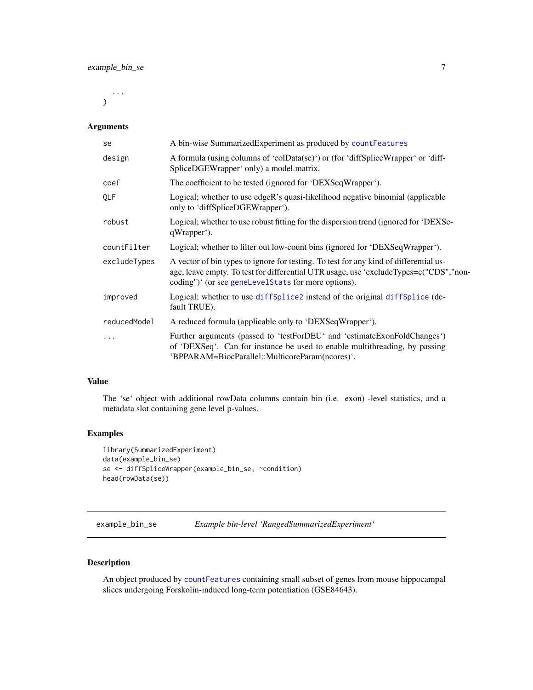<span id="page-6-0"></span>...  $\mathcal{L}$ 

#### Arguments

| se           | A bin-wise Summarized Experiment as produced by count Features                                                                                                                                                                        |  |
|--------------|---------------------------------------------------------------------------------------------------------------------------------------------------------------------------------------------------------------------------------------|--|
| design       | A formula (using columns of 'colData(se)') or (for 'diffSpliceWrapper' or 'diff-<br>SpliceDGEWrapper' only) a model.matrix.                                                                                                           |  |
| coef         | The coefficient to be tested (ignored for 'DEXSeqWrapper').                                                                                                                                                                           |  |
| QLF          | Logical; whether to use edgeR's quasi-likelihood negative binomial (applicable<br>only to 'diffSpliceDGEWrapper').                                                                                                                    |  |
| robust       | Logical; whether to use robust fitting for the dispersion trend (ignored for 'DEXSe-<br>qWrapper <sup>'</sup> ).                                                                                                                      |  |
| countFilter  | Logical; whether to filter out low-count bins (ignored for 'DEXSeqWrapper').                                                                                                                                                          |  |
| excludeTypes | A vector of bin types to ignore for testing. To test for any kind of differential us-<br>age, leave empty. To test for differential UTR usage, use 'excludeTypes=c("CDS","non-<br>coding")' (or see geneLevelStats for more options). |  |
| improved     | Logical; whether to use diffSplice2 instead of the original diffSplice (de-<br>fault TRUE).                                                                                                                                           |  |
| reducedModel | A reduced formula (applicable only to 'DEXSeqWrapper').                                                                                                                                                                               |  |
| $\cdots$     | Further arguments (passed to 'testForDEU' and 'estimateExonFoldChanges')<br>of 'DEXSeq'. Can for instance be used to enable multithreading, by passing<br>'BPPARAM=BiocParallel::MulticoreParam(ncores)'.                             |  |

# Value

The 'se' object with additional rowData columns contain bin (i.e. exon) -level statistics, and a metadata slot containing gene level p-values.

### Examples

```
library(SummarizedExperiment)
data(example_bin_se)
se <- diffSpliceWrapper(example_bin_se, ~condition)
head(rowData(se))
```
example\_bin\_se *Example bin-level 'RangedSummarizedExperiment'*

### Description

An object produced by [countFeatures](#page-2-1) containing small subset of genes from mouse hippocampal slices undergoing Forskolin-induced long-term potentiation (GSE84643).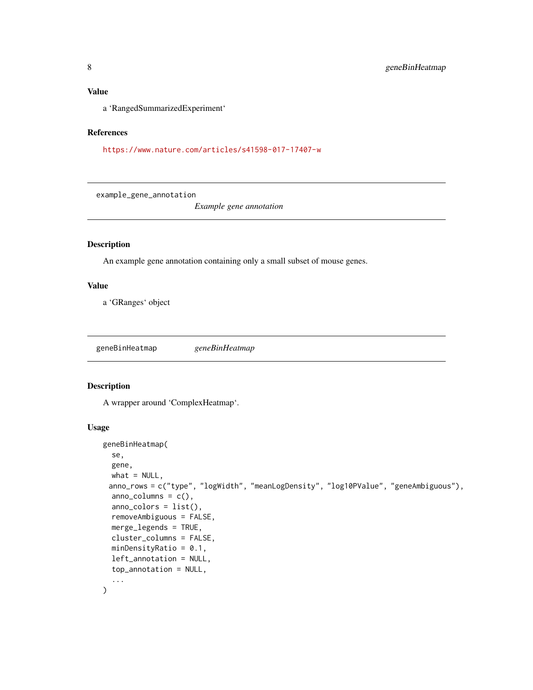#### <span id="page-7-0"></span>Value

a 'RangedSummarizedExperiment'

#### References

<https://www.nature.com/articles/s41598-017-17407-w>

example\_gene\_annotation

*Example gene annotation*

# Description

An example gene annotation containing only a small subset of mouse genes.

### Value

a 'GRanges' object

geneBinHeatmap *geneBinHeatmap*

#### Description

A wrapper around 'ComplexHeatmap'.

#### Usage

```
geneBinHeatmap(
  se,
 gene,
 what = NULL,anno_rows = c("type", "logWidth", "meanLogDensity", "log10PValue", "geneAmbiguous"),
  anno_columns = c(),
  anno_colors = list(),
  removeAmbiguous = FALSE,
 merge_legends = TRUE,
  cluster_columns = FALSE,
 minDensityRatio = 0.1,
  left_annotation = NULL,
  top_annotation = NULL,
  ...
\mathcal{L}
```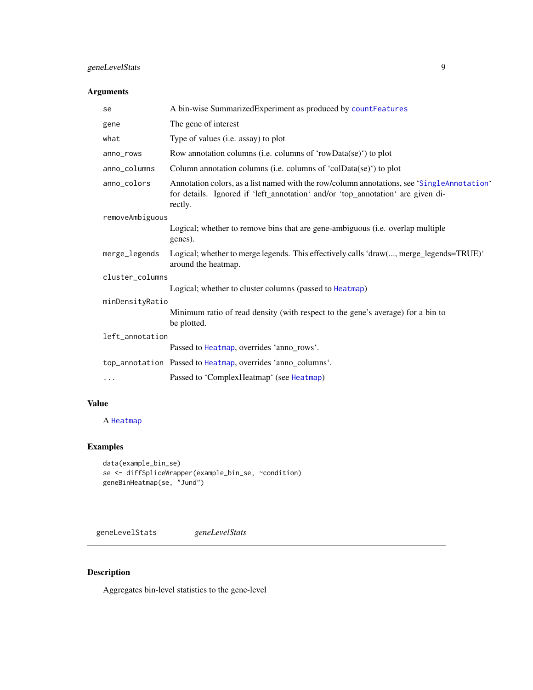# <span id="page-8-0"></span>geneLevelStats 9

# Arguments

| se              | A bin-wise SummarizedExperiment as produced by countFeatures                                                                                                                             |  |
|-----------------|------------------------------------------------------------------------------------------------------------------------------------------------------------------------------------------|--|
| gene            | The gene of interest                                                                                                                                                                     |  |
| what            | Type of values (i.e. assay) to plot                                                                                                                                                      |  |
| anno_rows       | Row annotation columns (i.e. columns of 'rowData(se)') to plot                                                                                                                           |  |
| anno_columns    | Column annotation columns (i.e. columns of 'colData(se)') to plot                                                                                                                        |  |
| anno_colors     | Annotation colors, as a list named with the row/column annotations, see 'SingleAnnotation'<br>for details. Ignored if 'left_annotation' and/or 'top_annotation' are given di-<br>rectly. |  |
| removeAmbiguous |                                                                                                                                                                                          |  |
|                 | Logical; whether to remove bins that are gene-ambiguous (i.e. overlap multiple<br>genes).                                                                                                |  |
| merge_legends   | Logical; whether to merge legends. This effectively calls 'draw(, merge_legends=TRUE)'<br>around the heatmap.                                                                            |  |
| cluster columns |                                                                                                                                                                                          |  |
|                 | Logical; whether to cluster columns (passed to Heatmap)                                                                                                                                  |  |
| minDensityRatio |                                                                                                                                                                                          |  |
|                 | Minimum ratio of read density (with respect to the gene's average) for a bin to<br>be plotted.                                                                                           |  |
| left_annotation |                                                                                                                                                                                          |  |
|                 | Passed to Heatmap, overrides 'anno_rows'.                                                                                                                                                |  |
|                 | top_annotation Passed to Heatmap, overrides 'anno columns'.                                                                                                                              |  |
| $\ddotsc$       | Passed to 'ComplexHeatmap' (see Heatmap)                                                                                                                                                 |  |
|                 |                                                                                                                                                                                          |  |

# Value

A [Heatmap](#page-0-0)

# Examples

```
data(example_bin_se)
se <- diffSpliceWrapper(example_bin_se, ~condition)
geneBinHeatmap(se, "Jund")
```
<span id="page-8-1"></span>geneLevelStats *geneLevelStats*

# Description

Aggregates bin-level statistics to the gene-level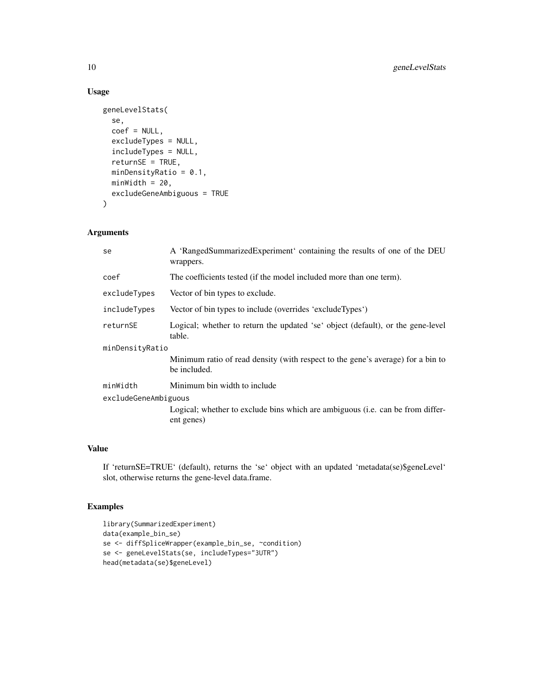# Usage

```
geneLevelStats(
  se,
 coef = NULL,
 excludeTypes = NULL,
  includeTypes = NULL,
  returnSE = TRUE,
  minDensityRatio = 0.1,
 minWidth = 20,excludeGeneAmbiguous = TRUE
)
```
# Arguments

| se                   | A 'RangedSummarizedExperiment' containing the results of one of the DEU<br>wrappers.            |  |
|----------------------|-------------------------------------------------------------------------------------------------|--|
| coef                 | The coefficients tested (if the model included more than one term).                             |  |
| excludeTypes         | Vector of bin types to exclude.                                                                 |  |
| includeTypes         | Vector of bin types to include (overrides 'excludeTypes')                                       |  |
| returnSE             | Logical; whether to return the updated 'se' object (default), or the gene-level<br>table.       |  |
| minDensityRatio      |                                                                                                 |  |
|                      | Minimum ratio of read density (with respect to the gene's average) for a bin to<br>be included. |  |
| minWidth             | Minimum bin width to include                                                                    |  |
| excludeGeneAmbiguous |                                                                                                 |  |
|                      | Logical; whether to exclude bins which are ambiguous (i.e. can be from differ-<br>ent genes)    |  |
|                      |                                                                                                 |  |

# Value

If 'returnSE=TRUE' (default), returns the 'se' object with an updated 'metadata(se)\$geneLevel' slot, otherwise returns the gene-level data.frame.

```
library(SummarizedExperiment)
data(example_bin_se)
se <- diffSpliceWrapper(example_bin_se, ~condition)
se <- geneLevelStats(se, includeTypes="3UTR")
head(metadata(se)$geneLevel)
```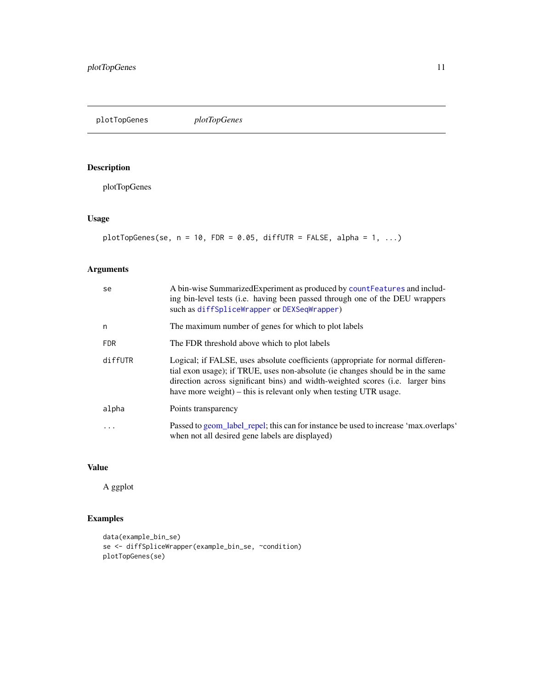<span id="page-10-0"></span>plotTopGenes *plotTopGenes*

# Description

plotTopGenes

# Usage

```
plotTopGenes(se, n = 10, FDR = 0.05, diffUTR = FALSE, alpha = 1, ...)
```
# Arguments

| se         | A bin-wise Summarized Experiment as produced by count Features and includ-<br>ing bin-level tests (i.e. having been passed through one of the DEU wrappers<br>such as diffSpliceWrapper or DEXSeqWrapper)                                                                                                                |  |
|------------|--------------------------------------------------------------------------------------------------------------------------------------------------------------------------------------------------------------------------------------------------------------------------------------------------------------------------|--|
| n          | The maximum number of genes for which to plot labels                                                                                                                                                                                                                                                                     |  |
| <b>FDR</b> | The FDR threshold above which to plot labels                                                                                                                                                                                                                                                                             |  |
| diffUTR    | Logical; if FALSE, uses absolute coefficients (appropriate for normal differen-<br>tial exon usage); if TRUE, uses non-absolute (ie changes should be in the same<br>direction across significant bins) and width-weighted scores (i.e. larger bins<br>have more weight) – this is relevant only when testing UTR usage. |  |
| alpha      | Points transparency                                                                                                                                                                                                                                                                                                      |  |
| .          | Passed to geom_label_repel; this can for instance be used to increase 'max.overlaps'<br>when not all desired gene labels are displayed)                                                                                                                                                                                  |  |

# Value

A ggplot

```
data(example_bin_se)
se <- diffSpliceWrapper(example_bin_se, ~condition)
plotTopGenes(se)
```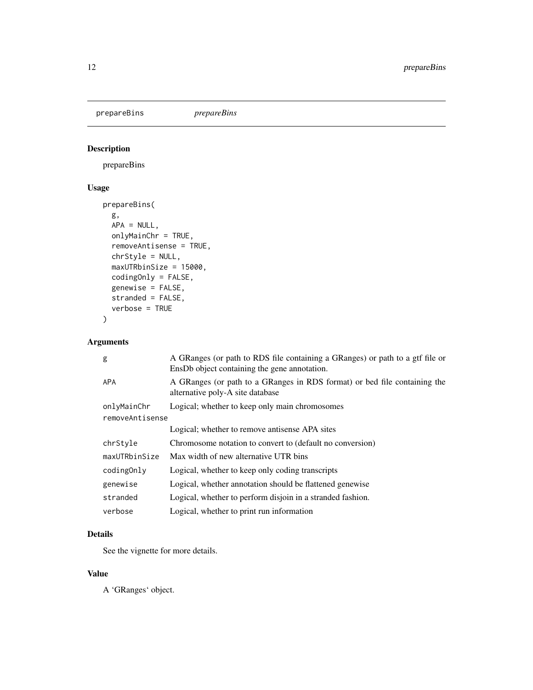<span id="page-11-0"></span>prepareBins *prepareBins*

# Description

prepareBins

# Usage

```
prepareBins(
 g,
 APA = NULL,onlyMainChr = TRUE,
 removeAntisense = TRUE,
 chrStyle = NULL,
 maxUTRbinSize = 15000,
 codingOnly = FALSE,
 genewise = FALSE,
 stranded = FALSE,
 verbose = TRUE
)
```
# Arguments

| A GRanges (or path to RDS file containing a GRanges) or path to a gtf file or<br>EnsDb object containing the gene annotation. |  |
|-------------------------------------------------------------------------------------------------------------------------------|--|
| A GRanges (or path to a GRanges in RDS format) or bed file containing the<br>alternative poly-A site database                 |  |
| Logical; whether to keep only main chromosomes                                                                                |  |
| removeAntisense                                                                                                               |  |
| Logical; whether to remove antisense APA sites                                                                                |  |
| Chromosome notation to convert to (default no conversion)                                                                     |  |
| Max width of new alternative UTR bins                                                                                         |  |
| Logical, whether to keep only coding transcripts                                                                              |  |
| Logical, whether annotation should be flattened genewise                                                                      |  |
| Logical, whether to perform disjoin in a stranded fashion.                                                                    |  |
| Logical, whether to print run information                                                                                     |  |
|                                                                                                                               |  |

# Details

See the vignette for more details.

### Value

A 'GRanges' object.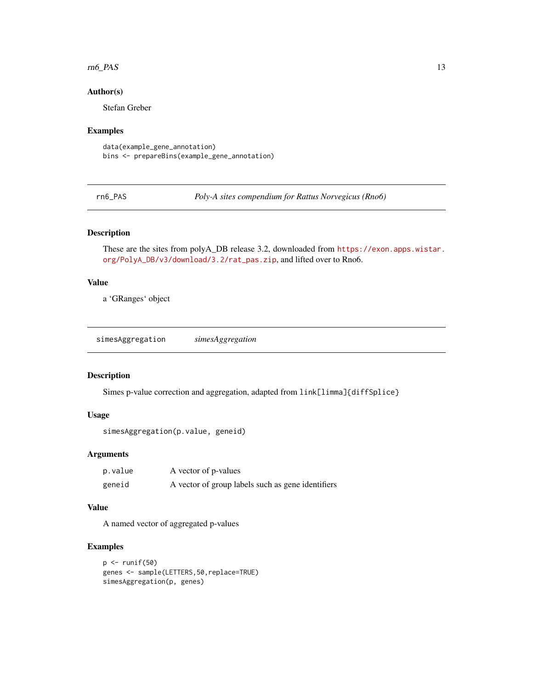#### <span id="page-12-0"></span> $r_{\rm{m}} = 13$

#### Author(s)

Stefan Greber

#### Examples

```
data(example_gene_annotation)
bins <- prepareBins(example_gene_annotation)
```
rn6\_PAS *Poly-A sites compendium for Rattus Norvegicus (Rno6)*

#### Description

These are the sites from polyA\_DB release 3.2, downloaded from [https://exon.apps.wistar.](https://exon.apps.wistar.org/PolyA_DB/v3/download/3.2/rat_pas.zip) [org/PolyA\\_DB/v3/download/3.2/rat\\_pas.zip](https://exon.apps.wistar.org/PolyA_DB/v3/download/3.2/rat_pas.zip), and lifted over to Rno6.

#### Value

a 'GRanges' object

simesAggregation *simesAggregation*

#### Description

Simes p-value correction and aggregation, adapted from link[limma]{diffSplice}

#### Usage

```
simesAggregation(p.value, geneid)
```
#### Arguments

| p.value | A vector of p-values                              |
|---------|---------------------------------------------------|
| geneid  | A vector of group labels such as gene identifiers |

### Value

A named vector of aggregated p-values

```
p \leftarrow runif(50)genes <- sample(LETTERS,50,replace=TRUE)
simesAggregation(p, genes)
```